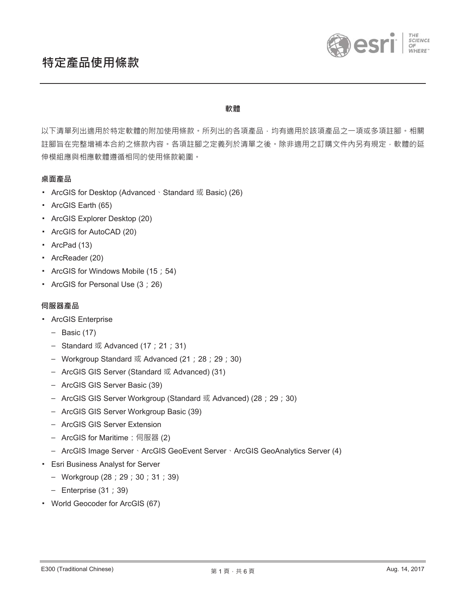

### **嶝榒**

以下清單列出適用於特定軟體的附加使用條款。所列出的各項產品,均有適用於該項產品之一項或多項註腳。相關 註腳旨在完整增補本合約之條款內容。各項註腳之定義列於清單之後。除非適用之訂購文件內另有規定,軟體的延 伸模組應與相應軟體遵循相同的使用條款範圍。

# 桌面產品

- ArcGIS for Desktop (Advanced、Standard 或 Basic) (26)
- ArcGIS Earth (65)
- ArcGIS Explorer Desktop (20)
- ArcGIS for AutoCAD (20)
- ArcPad (13)
- ArcReader (20)
- ArcGIS for Windows Mobile (15 ; 54)
- ArcGIS for Personal Use (3 ; 26)

## **伺服器產品**

- **ArcGIS Enterprise** 
	- $-$  Basic (17)
	- Standard  $\vec{X}$  Advanced (17 ; 21 ; 31)
	- Workgroup Standard  $\vec{x}$  Advanced (21 ; 28 ; 29 ; 30)
	- ArcGIS GIS Server (Standard 或 Advanced) (31)
	- ArcGIS GIS Server Basic (39)
	- ArcGIS GIS Server Workgroup (Standard 或 Advanced) (28; 29; 30)
	- ArcGIS GIS Server Workgroup Basic (39)
	- ArcGIS GIS Server Extension
	- ArcGIS for Maritime: 伺服器 (2)
	- ArcGIS Image Server · ArcGIS GeoEvent Server · ArcGIS GeoAnalytics Server (4)
- **Esri Business Analyst for Server** 
	- $-$  Workgroup (28 ; 29 ; 30 ; 31 ; 39)
	- $-$  Enterprise (31 ; 39)
- World Geocoder for ArcGIS (67)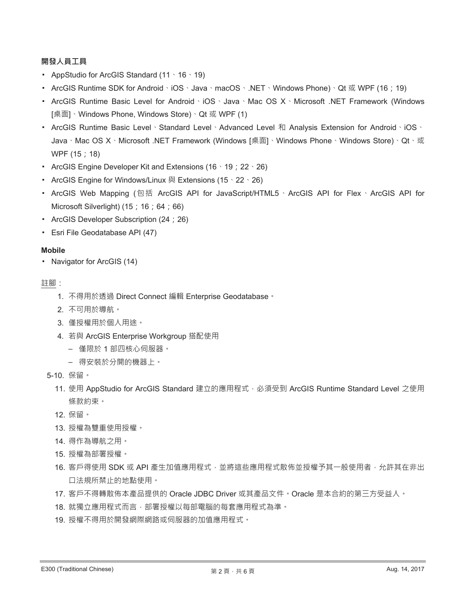# 開發人員工**具**

- AppStudio for ArcGIS Standard  $(11 \cdot 16 \cdot 19)$
- ArcGIS Runtime SDK for Android  $\cdot$  iOS  $\cdot$  Java  $\cdot$  macOS  $\cdot$  .NET  $\cdot$  Windows Phone)  $\cdot$  Qt  $\vec{x}$  WPF (16 ; 19)
- ArcGIS Runtime Basic Level for Android · iOS · Java · Mac OS X · Microsoft .NET Framework (Windows [桌面] · Windows Phone, Windows Store) · Qt 或 WPF (1)
- ArcGIS Runtime Basic Level Standard Level ` Advanced Level 和 Analysis Extension for Android ` iOS ` Java · Mac OS X · Microsoft .NET Framework (Windows [桌面] · Windows Phone · Windows Store) · Qt · 或 WPF (15 ; 18)
- ArcGIS Engine Developer Kit and Extensions (16  $\cdot$  19 ; 22  $\cdot$  26)
- ArcGIS Engine for Windows/Linux 與 Extensions (15、22、26)
- ArcGIS Web Mapping (包括 ArcGIS API for JavaScript/HTML5 · ArcGIS API for Flex · ArcGIS API for Microsoft Silverlight)  $(15; 16; 64; 66)$
- ArcGIS Developer Subscription (24 ; 26)
- **Esri File Geodatabase API (47)**

## **Mobile**

• Navigator for ArcGIS (14)

### 註腳:

- 1. 不得用於透過 Direct Connect 編輯 Enterprise Geodatabase ·
- 2. 不可用於導航。
- 3. 僅授權用於個人用途。
- 4. 若與 ArcGIS Enterprise Workgroup 搭配使用
	- 僅限於1部四核心伺服器。
	- 得安裝於分開的機器上。
- 5-10. 保留。
	- 11. 使用 AppStudio for ArcGIS Standard 建立的應用程式, 必須受到 ArcGIS Runtime Standard Level 之使用 條款約束。
	- 12. 保留。
	- 13. 授權為雙重使用授權。
	- 14. 得作為導航之用。
	- 15. 授權為部署授權。
	- 16. 客戶得使用 SDK 或 API 產生加值應用程式 · 並將這些應用程式散佈並授權予其一般使用者 · 允許其在非出 口法規所禁止的地點使用。
	- 17. 客戶不得轉散佈本產品提供的 Oracle JDBC Driver 或其產品文件。Oracle 是本合約的第三方受益人。
	- 18. 就獨立應用程式而言, 部署授權以每部電腦的每套應用程式為準。
	- 19. 授權不得用於開發網際網路或伺服器的加值應用程式。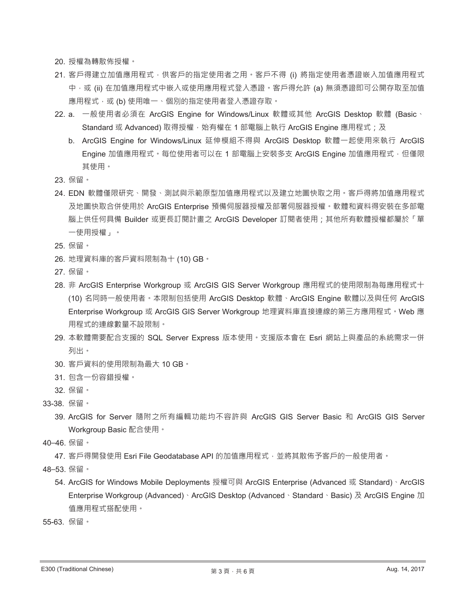20. 授權為轉散佈授權。

- 21. 客戶得建立加值應用程式,供客戶的指定使用者之用。客戶不得 (i) 將指定使用者憑證嵌入加值應用程式 中,或 (ii) 在加值應用程式中嵌入或使用應用程式登入憑證。客戶得允許 (a) 無須憑證即可公開存取至加值 應用程式,或(b)使用唯一、個別的指定使用者登入憑證存取。
- 22. a. 一般使用者必須在 ArcGIS Engine for Windows/Linux 軟體或其他 ArcGIS Desktop 軟體 (Basic、 Standard 或 Advanced) 取得授權 · 始有權在 1 部電腦上執行 ArcGIS Engine 應用程式; 及
	- b. ArcGIS Engine for Windows/Linux 延伸模組不得與 ArcGIS Desktop 軟體一起使用來執行 ArcGIS Engine 加值應用程式。每位使用者可以在 1 部電腦上安裝多支 ArcGIS Engine 加值應用程式‧但僅限 其使用。
- 23. 保留。
- 24. EDN 軟體僅限研究、開發、測試與示範原型加值應用程式以及建立地圖快取之用。客戶得將加值應用程式 及地圖快取合併使用於 ArcGIS Enterprise 預備伺服器授權及部署伺服器授權。軟體和資料得安裝在多部電 腦上供任何具備 Builder 或更長訂閱計畫之 ArcGIS Developer 訂閱者使用;其他所有軟體授權都屬於「單 一使用授權」。
- 25. 保留。
- 26. 地理資料庫的客戶資料限制為十 (10) GB。
- 27. 保留。
- 28. 非 ArcGIS Enterprise Workgroup 或 ArcGIS GIS Server Workgroup 應用程式的使用限制為每應用程式十 (10) 名同時一般使用者。本限制包括使用 ArcGIS Desktop 軟體、ArcGIS Engine 軟體以及與任何 ArcGIS Enterprise Workgroup 或 ArcGIS GIS Server Workgroup 地理資料庫直接連線的第三方應用程式。Web 應 用程式的連線數量不設限制。
- 29. 本軟體需要配合支援的 SQL Server Express 版本使用。支援版本會在 Esri 網站上與產品的系統需求一併 列出。
- 30. 客戶資料的使用限制為最大 10 GB。
- 31. 包含一份容錯授權。
- 32. 保留。
- 33-38. 保留。
	- 39. ArcGIS for Server 隨附之所有編輯功能均不容許與 ArcGIS GIS Server Basic 和 ArcGIS GIS Server Workgroup Basic 配合使用。
- 40-46. 保留。

47. 客戶得開發使用 Esri File Geodatabase API 的加值應用程式,並將其散佈予客戶的一般使用者。

- 48-53. 保留。
	- 54. ArcGIS for Windows Mobile Deployments 授權可與 ArcGIS Enterprise (Advanced 或 Standard) · ArcGIS Enterprise Workgroup (Advanced) · ArcGIS Desktop (Advanced · Standard · Basic) 及 ArcGIS Engine 加 值應用程式搭配使用。
- 55-63. 保留。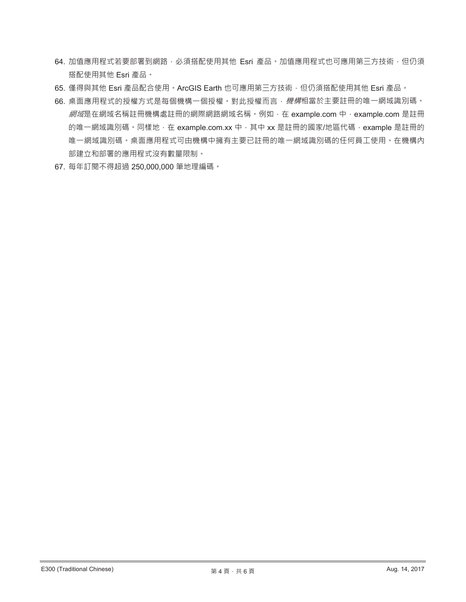- 64. 加值應用程式若要部署到網路•必須搭配使用其他 Esri 產品•加值應用程式也可應用第三方技術•但仍須 搭配使用其他 Esri 產品。
- 65. 僅得與其他 Esri 產品配合使用。ArcGIS Earth 也可應用第三方技術,但仍須搭配使用其他 Esri 產品。
- 66. 桌面應用程式的授權方式是每個機構一個授權。對此授權而言, 機構相當於主要註冊的唯一網域識別碼。 網域是在網域名稱註冊機構處註冊的網際網路網域名稱。例如,在 example.com 中, example.com 是註冊 的唯一網域識別碼。同樣地, 在 example.com.xx 中, 其中 xx 是註冊的國家/地區代碼, example 是註冊的 唯一網域識別碼。桌面應用程式可由機構中擁有主要已註冊的唯一網域識別碼的任何員工使用。在機構內 部建立和部署的應用程式沒有數量限制。
- 67. 每年訂閱不得超過 250,000,000 筆地理編碼。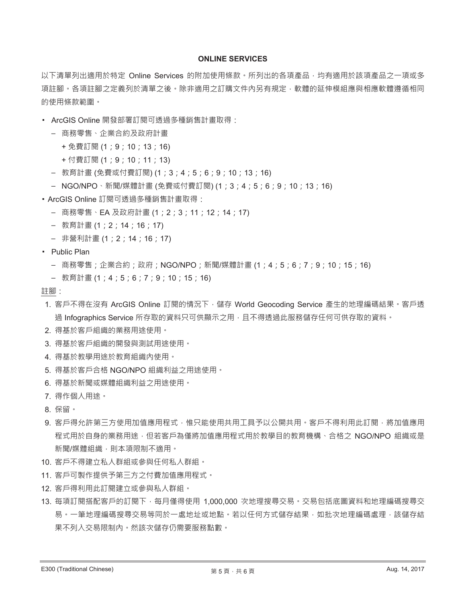### **ONLINE SERVICES**

以下清單列出適用於特定 Online Services 的附加使用條款。所列出的各項產品,均有適用於該項產品之一項或多 項註腳。各項註腳之定義列於清單之後。除非適用之訂購文件內另有規定,軟體的延伸模組應與相應軟體遵循相同 的使用條款範圍。

- ArcGIS Online 開發部署訂閱可透過多種銷售計畫取得:
	- 商務零售、企業合約及政府計畫
		- + 免費訂閱 (1 ; 9 ; 10 ; 13 ; 16)
		- + 付費訂閱 (1 ; 9 ; 10 ; 11 ; 13)
	- 教育計畫 (免費或付費訂閱) (1 ; 3 ; 4 ; 5 ; 6 ; 9 ; 10 ; 13 ; 16)
	- NGO/NPO、新聞/媒體計畫 (免費或付費訂閱) (1 ; 3 ; 4 ; 5 ; 6 ; 9 ; 10 ; 13 ; 16)
- ArcGIS Online 訂閱可透過多種銷售計畫取得:
	- 商務零售、EA 及政府計畫 (1; 2; 3; 11; 12; 14; 17)
	- 教育計畫 (1 ; 2 ; 14 ; 16 ; 17)
	- 非營利計畫 (1 ; 2 ; 14 ; 16 ; 17)
- Public Plan
	- 商務零售;企業合約;政府;NGO/NPO;新聞/媒體計畫 (1;4;5;6;7;9;10;15;16)
	- 教育計畫(1;4;5;6;7;9;10;15;16)
- 註腳:
- 1. 客戶不得在沒有 ArcGIS Online 訂閱的情況下,儲存 World Geocoding Service 產生的地理編碼結果。客戶透 過 Infographics Service 所存取的資料只可供顯示之用,且不得透過此服務儲存任何可供存取的資料。
- 2. 得基於客戶組織的業務用途使用。
- 3. 得基於客戶組織的開發與測試用途使用。
- 4. 得基於教學用途於教育組織內使用。
- 5. 得基於客戶合格 NGO/NPO 組織利益之用途使用。
- 6. 得基於新聞或媒體組織利益之用途使用。
- 7. 得作個人用涂。
- 8 保留。
- 9. 客戶得允許第三方使用加值應用程式,惟只能使用共用工具予以公開共用。客戶不得利用此訂閱,將加值應用 程式用於自身的業務用途,但若客戶為僅將加值應用程式用於教學目的教育機構、合格之 NGO/NPO 組織或是 新聞/媒體組織, 則本項限制不適用。
- 10. 客戶不得建立私人群組或參與任何私人群組。
- 11. 客戶可製作提供予第三方之付費加值應用程式。
- 12. 客戶得利用此訂閱建立或參與私人群組。
- 13. 每項訂閱搭配客戶的訂閱下, 每月僅得使用 1,000,000 次地理搜尋交易, 交易包括底圖資料和地理編碼搜尋交 易。一筆地理編碼搜尋交易等同於一處地址或地點。若以任何方式儲存結果,如批次地理編碼處理,該儲存結 果不列入交易限制内。然該次儲存仍需要服務點數。